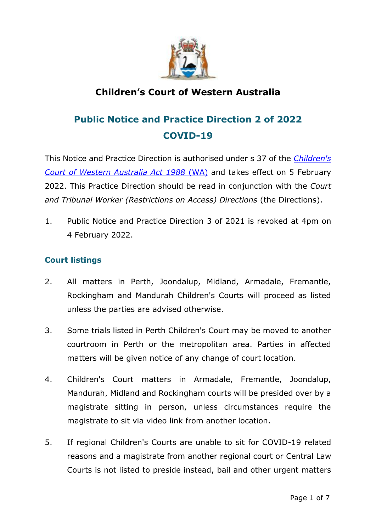

## **Children's Court of Western Australia**

# **Public Notice and Practice Direction 2 of 2022 COVID-19**

This Notice and Practice Direction is authorised under s 37 of the *[Children's](https://www.legislation.wa.gov.au/legislation/statutes.nsf/law_a124.html)  [Court of Western Australia Act 1988](https://www.legislation.wa.gov.au/legislation/statutes.nsf/law_a124.html)* (WA) and takes effect on 5 February 2022. This Practice Direction should be read in conjunction with the *Court and Tribunal Worker (Restrictions on Access) Directions* (the Directions).

1. Public Notice and Practice Direction 3 of 2021 is revoked at 4pm on 4 February 2022.

## **Court listings**

- 2. All matters in Perth, Joondalup, Midland, Armadale, Fremantle, Rockingham and Mandurah Children's Courts will proceed as listed unless the parties are advised otherwise.
- 3. Some trials listed in Perth Children's Court may be moved to another courtroom in Perth or the metropolitan area. Parties in affected matters will be given notice of any change of court location.
- 4. Children's Court matters in Armadale, Fremantle, Joondalup, Mandurah, Midland and Rockingham courts will be presided over by a magistrate sitting in person, unless circumstances require the magistrate to sit via video link from another location.
- 5. If regional Children's Courts are unable to sit for COVID-19 related reasons and a magistrate from another regional court or Central Law Courts is not listed to preside instead, bail and other urgent matters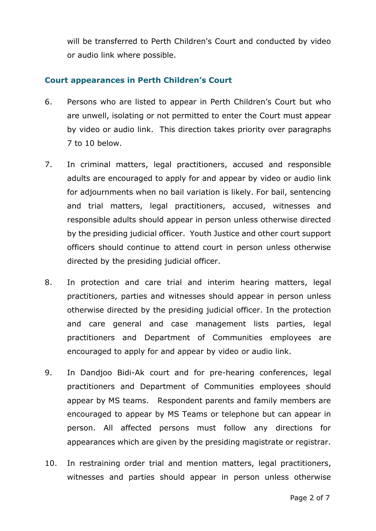will be transferred to Perth Children's Court and conducted by video or audio link where possible.

### **Court appearances in Perth Children's Court**

- 6. Persons who are listed to appear in Perth Children's Court but who are unwell, isolating or not permitted to enter the Court must appear by video or audio link. This direction takes priority over paragraphs 7 to 10 below.
- 7. In criminal matters, legal practitioners, accused and responsible adults are encouraged to apply for and appear by video or audio link for adjournments when no bail variation is likely. For bail, sentencing and trial matters, legal practitioners, accused, witnesses and responsible adults should appear in person unless otherwise directed by the presiding judicial officer. Youth Justice and other court support officers should continue to attend court in person unless otherwise directed by the presiding judicial officer.
- 8. In protection and care trial and interim hearing matters, legal practitioners, parties and witnesses should appear in person unless otherwise directed by the presiding judicial officer. In the protection and care general and case management lists parties, legal practitioners and Department of Communities employees are encouraged to apply for and appear by video or audio link.
- 9. In Dandjoo Bidi-Ak court and for pre-hearing conferences, legal practitioners and Department of Communities employees should appear by MS teams. Respondent parents and family members are encouraged to appear by MS Teams or telephone but can appear in person. All affected persons must follow any directions for appearances which are given by the presiding magistrate or registrar.
- 10. In restraining order trial and mention matters, legal practitioners, witnesses and parties should appear in person unless otherwise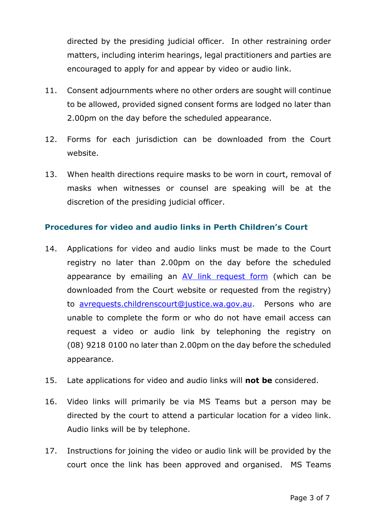directed by the presiding judicial officer. In other restraining order matters, including interim hearings, legal practitioners and parties are encouraged to apply for and appear by video or audio link.

- 11. Consent adjournments where no other orders are sought will continue to be allowed, provided signed consent forms are lodged no later than 2.00pm on the day before the scheduled appearance.
- 12. Forms for each jurisdiction can be downloaded from the Court website.
- 13. When health directions require masks to be worn in court, removal of masks when witnesses or counsel are speaking will be at the discretion of the presiding judicial officer.

## **Procedures for video and audio links in Perth Children's Court**

- 14. Applications for video and audio links must be made to the Court registry no later than 2.00pm on the day before the scheduled appearance by emailing an [AV link request form](/E/electronic_attendance.aspx) (which can be downloaded from the Court website or requested from the registry) to [avrequests.childrenscourt@justice.wa.gov.au.](mailto:avrequests.childrenscourt@justice.wa.gov.au) Persons who are unable to complete the form or who do not have email access can request a video or audio link by telephoning the registry on (08) 9218 0100 no later than 2.00pm on the day before the scheduled appearance.
- 15. Late applications for video and audio links will **not be** considered.
- 16. Video links will primarily be via MS Teams but a person may be directed by the court to attend a particular location for a video link. Audio links will be by telephone.
- 17. Instructions for joining the video or audio link will be provided by the court once the link has been approved and organised. MS Teams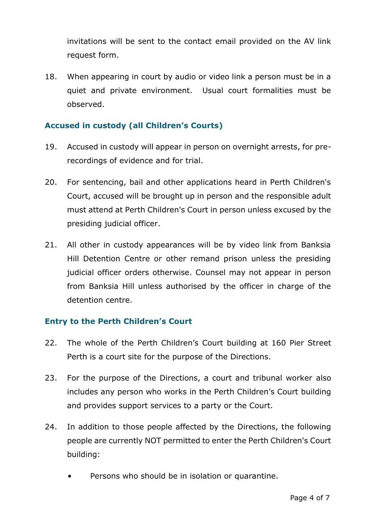invitations will be sent to the contact email provided on the AV link request form.

18. When appearing in court by audio or video link a person must be in a quiet and private environment. Usual court formalities must be observed.

## **Accused in custody (all Children's Courts)**

- 19. Accused in custody will appear in person on overnight arrests, for prerecordings of evidence and for trial.
- 20. For sentencing, bail and other applications heard in Perth Children's Court, accused will be brought up in person and the responsible adult must attend at Perth Children's Court in person unless excused by the presiding judicial officer.
- 21. All other in custody appearances will be by video link from Banksia Hill Detention Centre or other remand prison unless the presiding judicial officer orders otherwise. Counsel may not appear in person from Banksia Hill unless authorised by the officer in charge of the detention centre.

#### **Entry to the Perth Children's Court**

- 22. The whole of the Perth Children's Court building at 160 Pier Street Perth is a court site for the purpose of the Directions.
- 23. For the purpose of the Directions, a court and tribunal worker also includes any person who works in the Perth Children's Court building and provides support services to a party or the Court.
- 24. In addition to those people affected by the Directions, the following people are currently NOT permitted to enter the Perth Children's Court building:
	- Persons who should be in isolation or quarantine.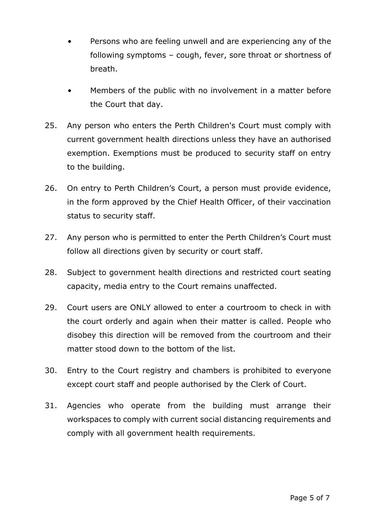- Persons who are feeling unwell and are experiencing any of the following symptoms – cough, fever, sore throat or shortness of breath.
- Members of the public with no involvement in a matter before the Court that day.
- 25. Any person who enters the Perth Children's Court must comply with current government health directions unless they have an authorised exemption. Exemptions must be produced to security staff on entry to the building.
- 26. On entry to Perth Children's Court, a person must provide evidence, in the form approved by the Chief Health Officer, of their vaccination status to security staff.
- 27. Any person who is permitted to enter the Perth Children's Court must follow all directions given by security or court staff.
- 28. Subject to government health directions and restricted court seating capacity, media entry to the Court remains unaffected.
- 29. Court users are ONLY allowed to enter a courtroom to check in with the court orderly and again when their matter is called. People who disobey this direction will be removed from the courtroom and their matter stood down to the bottom of the list.
- 30. Entry to the Court registry and chambers is prohibited to everyone except court staff and people authorised by the Clerk of Court.
- 31. Agencies who operate from the building must arrange their workspaces to comply with current social distancing requirements and comply with all government health requirements.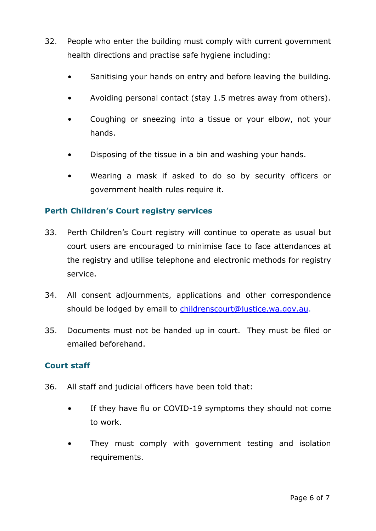- 32. People who enter the building must comply with current government health directions and practise safe hygiene including:
	- Sanitising your hands on entry and before leaving the building.
	- Avoiding personal contact (stay 1.5 metres away from others).
	- Coughing or sneezing into a tissue or your elbow, not your hands.
	- Disposing of the tissue in a bin and washing your hands.
	- Wearing a mask if asked to do so by security officers or government health rules require it.

#### **Perth Children's Court registry services**

- 33. Perth Children's Court registry will continue to operate as usual but court users are encouraged to minimise face to face attendances at the registry and utilise telephone and electronic methods for registry service.
- 34. All consent adjournments, applications and other correspondence should be lodged by email to [childrenscourt@justice.wa.gov.au.](childrenscourt@justice.wa.gov.au)
- 35. Documents must not be handed up in court. They must be filed or emailed beforehand.

#### **Court staff**

- 36. All staff and judicial officers have been told that:
	- If they have flu or COVID-19 symptoms they should not come to work.
	- They must comply with government testing and isolation requirements.